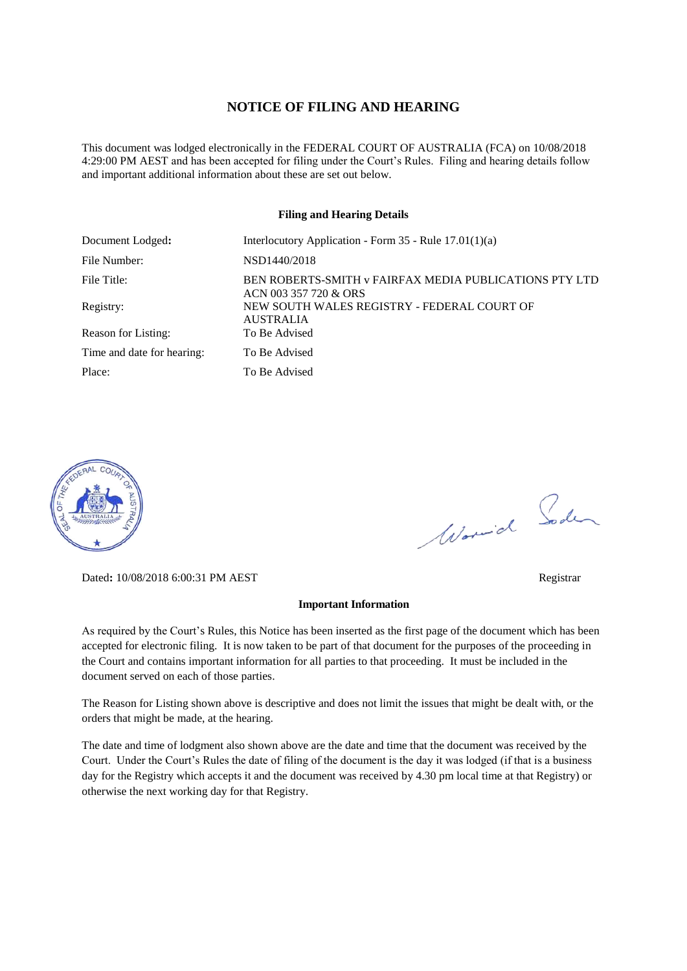#### **NOTICE OF FILING AND HEARING**

This document was lodged electronically in the FEDERAL COURT OF AUSTRALIA (FCA) on 10/08/2018 4:29:00 PM AEST and has been accepted for filing under the Court's Rules. Filing and hearing details follow and important additional information about these are set out below.

#### **Filing and Hearing Details**

| Document Lodged:           | Interlocutory Application - Form $35$ - Rule $17.01(1)(a)$                      |
|----------------------------|---------------------------------------------------------------------------------|
| File Number:               | NSD1440/2018                                                                    |
| File Title:                | BEN ROBERTS-SMITH v FAIRFAX MEDIA PUBLICATIONS PTY LTD<br>ACN 003 357 720 & ORS |
| Registry:                  | NEW SOUTH WALES REGISTRY - FEDERAL COURT OF<br><b>AUSTRALIA</b>                 |
| Reason for Listing:        | To Be Advised                                                                   |
| Time and date for hearing: | To Be Advised                                                                   |
| Place:                     | To Be Advised                                                                   |



Dated**:** 10/08/2018 6:00:31 PM AEST Registrar

#### **Important Information**

As required by the Court's Rules, this Notice has been inserted as the first page of the document which has been accepted for electronic filing. It is now taken to be part of that document for the purposes of the proceeding in the Court and contains important information for all parties to that proceeding. It must be included in the document served on each of those parties.

The Reason for Listing shown above is descriptive and does not limit the issues that might be dealt with, or the orders that might be made, at the hearing.

The date and time of lodgment also shown above are the date and time that the document was received by the Court. Under the Court's Rules the date of filing of the document is the day it was lodged (if that is a business day for the Registry which accepts it and the document was received by 4.30 pm local time at that Registry) or otherwise the next working day for that Registry.

Worwich Soden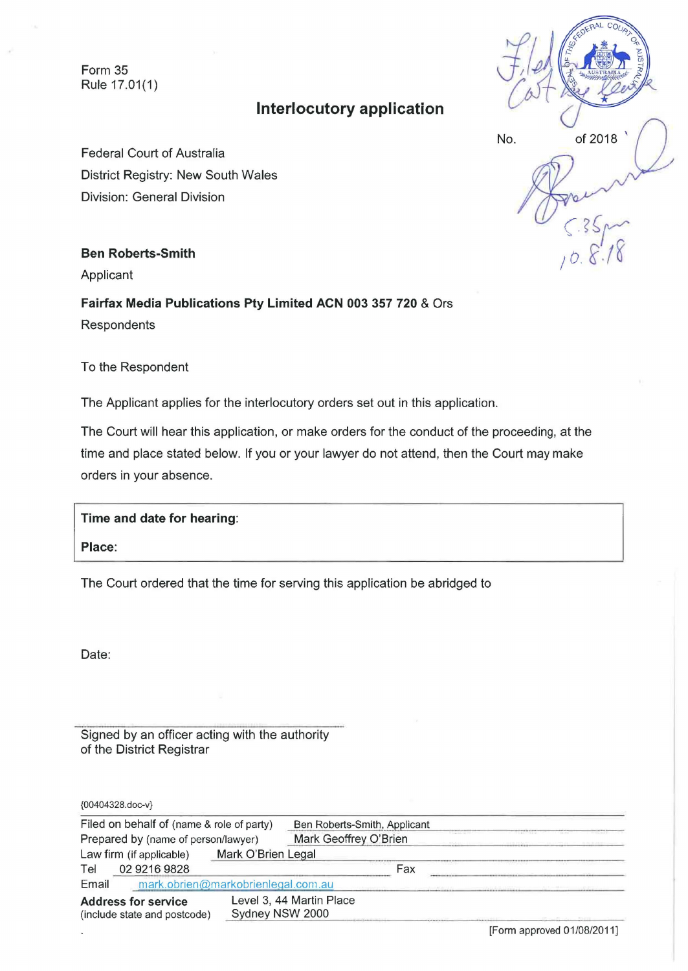Form 35 Rule 17.01(1)

# **Interlocutory application**

 $H = \begin{pmatrix} 1 & 1 & 1 \\ 0 & 1 & 1 \\ 0 & 1 & 1 \end{pmatrix}$ No. of 2018

Federal Court of Australia District Registry: New South Wales Division: General Division

### **Ben Roberts-Smith**

Applicant

**Fairfax Media Publications Pty Limited ACN 003 357 720** & Ors Respondents

To the Respondent

The Applicant applies for the interlocutory orders set out in this application.

The Court will hear this application, or make orders for the conduct of the proceeding, at the time and place stated below. If you or your lawyer do not attend, then the Court may make orders in your absence.

| Time and date for hearing:                                                  |  |  |  |
|-----------------------------------------------------------------------------|--|--|--|
| Place:                                                                      |  |  |  |
| The Court ordered that the time for serving this application be abridged to |  |  |  |

Date:

Signed by an officer acting with the authority of the District Registrar

{00404328.doc-v}

| Filed on behalf of (name & role of party)<br>Prepared by (name of person/lawyer) |                                    | Ben Roberts-Smith, Applicant<br>Mark Geoffrey O'Brien |  |     |  |
|----------------------------------------------------------------------------------|------------------------------------|-------------------------------------------------------|--|-----|--|
|                                                                                  |                                    |                                                       |  |     |  |
| Tel                                                                              | 02 9216 9828                       |                                                       |  | Fax |  |
| Email                                                                            | mark.obrien@markobrienlegal.com.au |                                                       |  |     |  |
| <b>Address for service</b><br>(include state and postcode)                       |                                    | Level 3, 44 Martin Place<br>Sydney NSW 2000           |  |     |  |

[Form approved 01/08/2011]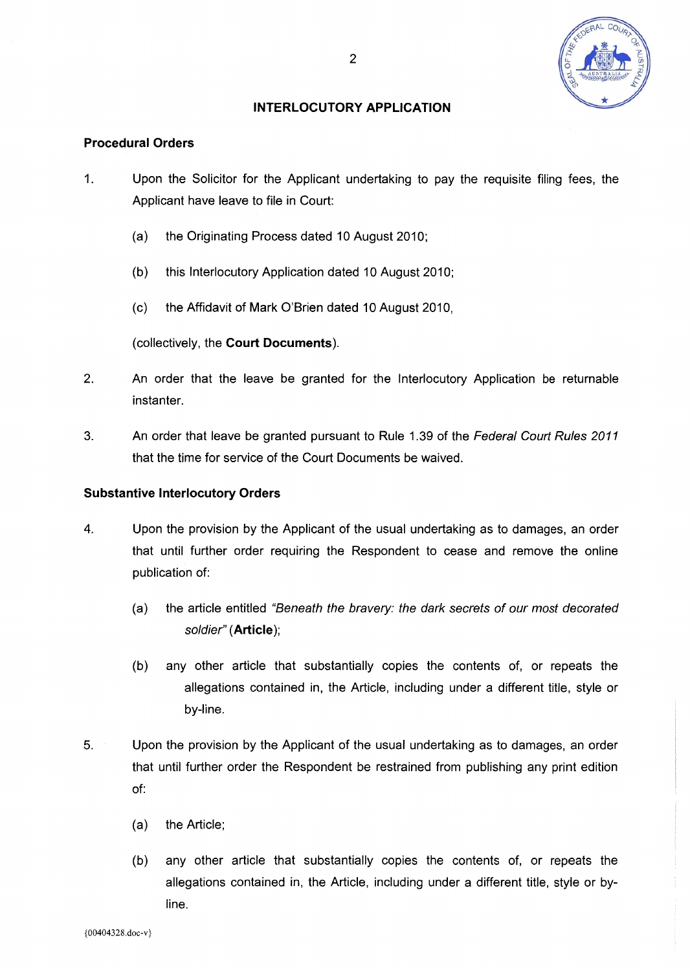

### **INTERLOCUTORY APPLICATION**

#### **Procedural Orders**

- 1. Upon the Solicitor for the Applicant undertaking to pay the requisite filing fees, the Applicant have leave to file in Court:
	- (a) the Originating Process dated 10 August 2010;
	- (b) this Interlocutory Application dated 10 August 2010;
	- ( c) the Affidavit of Mark O'Brien dated 10 August 2010,

(collectively, the **Court Documents).** 

- 2. An order that the leave be granted for the Interlocutory Application be returnable instanter.
- 3. An order that leave be granted pursuant to Rule 1.39 of the Federal Court Rules 2011 that the time for service of the Court Documents be waived.

### **Substantive Interlocutory Orders**

- 4. Upon the provision by the Applicant of the usual undertaking as to damages, an order that until further order requiring the Respondent to cease and remove the online publication of:
	- (a) the article entitled "Beneath the bravery: the dark secrets of our most decorated soldier" **(Article);**
	- (b) any other article that substantially copies the contents of, or repeats the allegations contained in, the Article, including under a different title, style or by-line.
- 5. Upon the provision by the Applicant of the usual undertaking as to damages, an order that until further order the Respondent be restrained from publishing any print edition of:
	- (a) the Article;
	- (b) any other article that substantially copies the contents of, or repeats the allegations contained in, the Article, including under a different title, style or byline.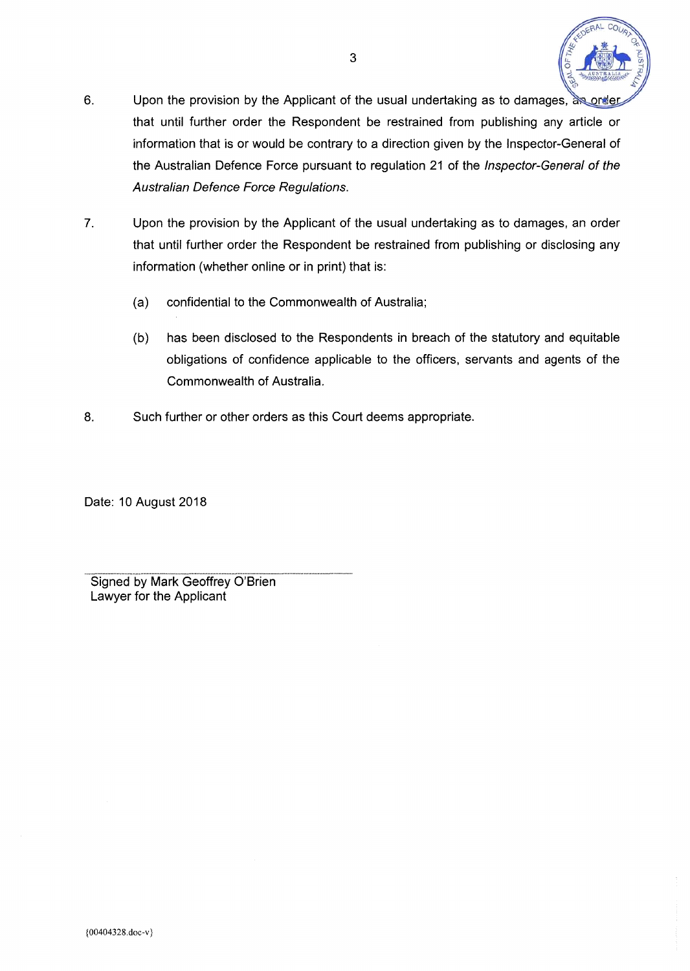

- 6. Upon the provision by the Applicant of the usual undertaking as to damages, as order that until further order the Respondent be restrained from publishing any article or information that is or would be contrary to a direction given by the Inspector-General of the Australian Defence Force pursuant to regulation 21 of the Inspector-General of the Australian Defence Force Regulations.
- 7. Upon the provision by the Applicant of the usual undertaking as to damages, an order that until further order the Respondent be restrained from publishing or disclosing any information (whether online or in print) that is:
	- (a) confidential to the Commonwealth of Australia;
	- (b) has been disclosed to the Respondents in breach of the statutory and equitable obligations of confidence applicable to the officers, servants and agents of the Commonwealth of Australia.
- 8. Such further or other orders as this Court deems appropriate.

Date: 10 August 2018

Signed by Mark Geoffrey O'Brien Lawyer for the Applicant